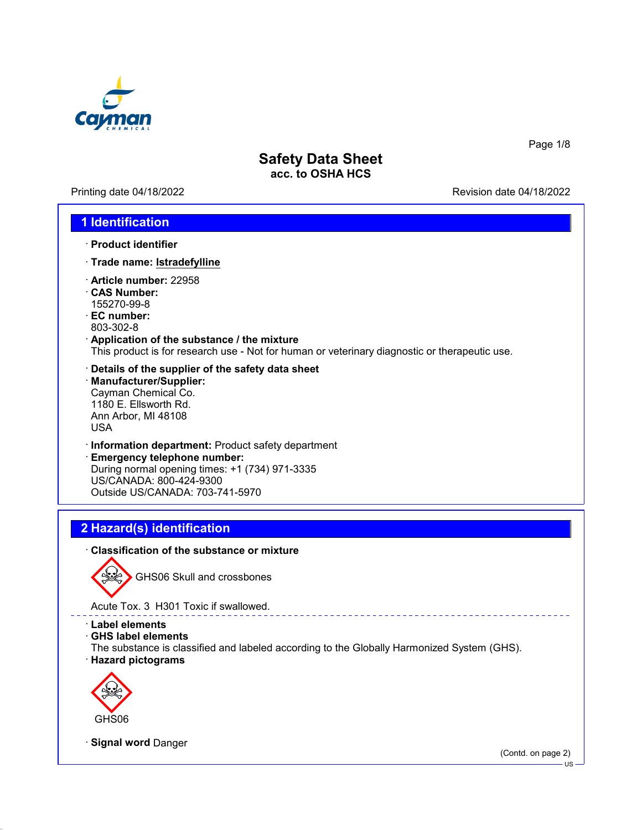

Printing date 04/18/2022 **Revision date 04/18/2022** 

Page 1/8

## **1 Identification**

- · **Product identifier**
- · **Trade name: Istradefylline**
- · **Article number:** 22958
- · **CAS Number:** 155270-99-8
- · **EC number:** 803-302-8
- · **Application of the substance / the mixture** This product is for research use - Not for human or veterinary diagnostic or therapeutic use.
- · **Details of the supplier of the safety data sheet** · **Manufacturer/Supplier:** Cayman Chemical Co. 1180 E. Ellsworth Rd. Ann Arbor, MI 48108 USA
- · **Information department:** Product safety department
- · **Emergency telephone number:** During normal opening times: +1 (734) 971-3335 US/CANADA: 800-424-9300 Outside US/CANADA: 703-741-5970

# **2 Hazard(s) identification**

### · **Classification of the substance or mixture**



GHS06 Skull and crossbones

Acute Tox. 3 H301 Toxic if swallowed.

- · **Label elements**
- · **GHS label elements**
- The substance is classified and labeled according to the Globally Harmonized System (GHS). · **Hazard pictograms**



· **Signal word** Danger

(Contd. on page 2)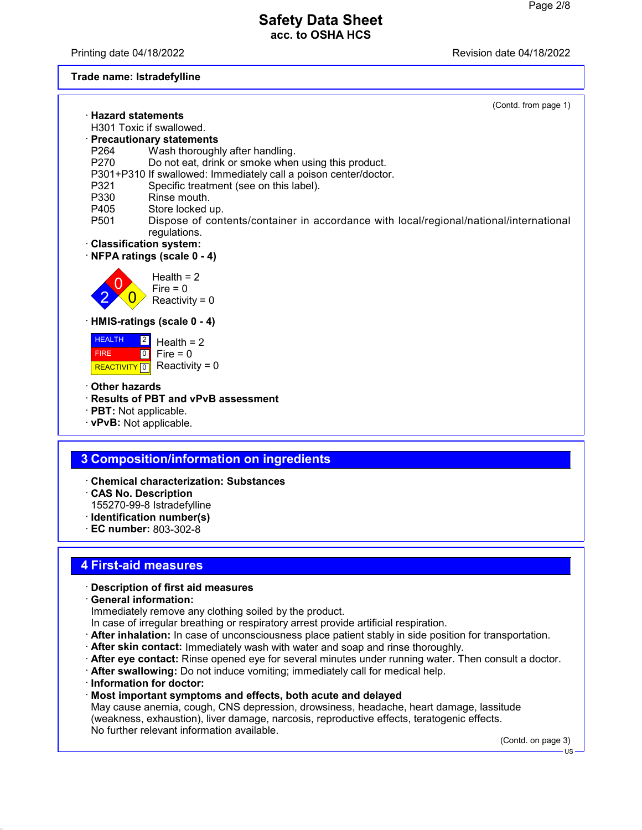Printing date 04/18/2022 Revision date 04/18/2022

### **Trade name: Istradefylline**

| (Contd. from page 1)                                                                                                      |
|---------------------------------------------------------------------------------------------------------------------------|
| · Hazard statements                                                                                                       |
| H301 Toxic if swallowed.                                                                                                  |
| · Precautionary statements                                                                                                |
| Wash thoroughly after handling.<br>P264                                                                                   |
| P270<br>Do not eat, drink or smoke when using this product.                                                               |
| P301+P310 If swallowed: Immediately call a poison center/doctor.                                                          |
| Specific treatment (see on this label).<br>P321                                                                           |
| Rinse mouth.<br>P330                                                                                                      |
| P405<br>Store locked up.                                                                                                  |
| P <sub>501</sub><br>Dispose of contents/container in accordance with local/regional/national/international                |
| regulations.                                                                                                              |
| · Classification system:                                                                                                  |
| NFPA ratings (scale 0 - 4)                                                                                                |
| Health $= 2$<br>Fire = $0$<br>Reactivity = $0$                                                                            |
| · HMIS-ratings (scale 0 - 4)                                                                                              |
| <b>HEALTH</b><br>$\vert$ 2<br>Health $= 2$<br>Fire $= 0$<br> 0 <br><b>FIRE</b><br>Reactivity = $0$<br><b>REACTIVITY</b> 0 |
| Other hazards                                                                                                             |
| <b>Results of PBT and vPvB assessment</b>                                                                                 |
| · PBT: Not applicable.                                                                                                    |
| · vPvB: Not applicable.                                                                                                   |
|                                                                                                                           |
|                                                                                                                           |
| 3 Composition/information on ingredients                                                                                  |
|                                                                                                                           |

- · **Chemical characterization: Substances**
- · **CAS No. Description** 155270-99-8 Istradefylline
- · **Identification number(s)**
- · **EC number:** 803-302-8

## **4 First-aid measures**

### · **Description of first aid measures**

· **General information:**

Immediately remove any clothing soiled by the product.

- In case of irregular breathing or respiratory arrest provide artificial respiration.
- · **After inhalation:** In case of unconsciousness place patient stably in side position for transportation.
- · **After skin contact:** Immediately wash with water and soap and rinse thoroughly.
- · **After eye contact:** Rinse opened eye for several minutes under running water. Then consult a doctor.
- · **After swallowing:** Do not induce vomiting; immediately call for medical help.
- · **Information for doctor:**
- · **Most important symptoms and effects, both acute and delayed**

May cause anemia, cough, CNS depression, drowsiness, headache, heart damage, lassitude (weakness, exhaustion), liver damage, narcosis, reproductive effects, teratogenic effects. No further relevant information available.

(Contd. on page 3)

US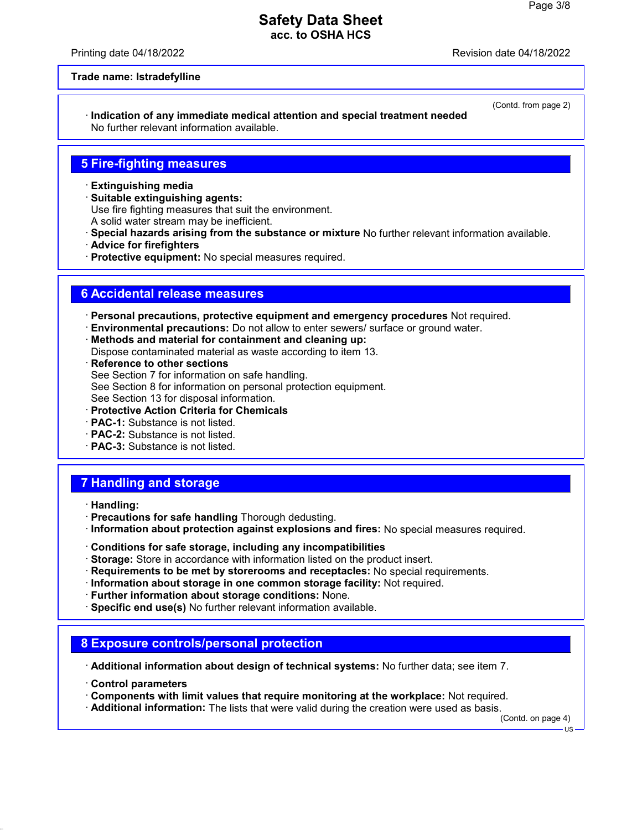Printing date 04/18/2022 Revision date 04/18/2022

(Contd. from page 2)

#### **Trade name: Istradefylline**

· **Indication of any immediate medical attention and special treatment needed** No further relevant information available.

## **5 Fire-fighting measures**

- · **Extinguishing media**
- · **Suitable extinguishing agents:**

Use fire fighting measures that suit the environment.

- A solid water stream may be inefficient.
- · **Special hazards arising from the substance or mixture** No further relevant information available.
- · **Advice for firefighters**
- · **Protective equipment:** No special measures required.

## **6 Accidental release measures**

· **Personal precautions, protective equipment and emergency procedures** Not required.

- · **Environmental precautions:** Do not allow to enter sewers/ surface or ground water.
- · **Methods and material for containment and cleaning up:**

Dispose contaminated material as waste according to item 13.

- · **Reference to other sections** See Section 7 for information on safe handling. See Section 8 for information on personal protection equipment. See Section 13 for disposal information.
- · **Protective Action Criteria for Chemicals**
- · **PAC-1:** Substance is not listed.
- · **PAC-2:** Substance is not listed.
- · **PAC-3:** Substance is not listed.

## **7 Handling and storage**

- · **Handling:**
- · **Precautions for safe handling** Thorough dedusting.
- · **Information about protection against explosions and fires:** No special measures required.
- · **Conditions for safe storage, including any incompatibilities**
- · **Storage:** Store in accordance with information listed on the product insert.
- · **Requirements to be met by storerooms and receptacles:** No special requirements.
- · **Information about storage in one common storage facility:** Not required.
- · **Further information about storage conditions:** None.
- · **Specific end use(s)** No further relevant information available.

## **8 Exposure controls/personal protection**

· **Additional information about design of technical systems:** No further data; see item 7.

- · **Control parameters**
- · **Components with limit values that require monitoring at the workplace:** Not required.
- · **Additional information:** The lists that were valid during the creation were used as basis.

(Contd. on page 4)

US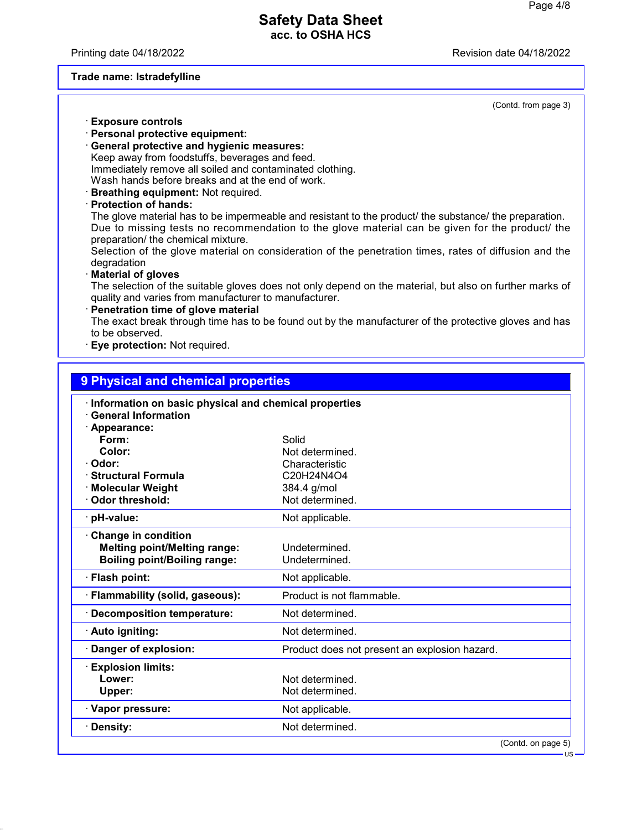Printing date 04/18/2022 **Revision date 04/18/2022** 

#### **Trade name: Istradefylline**

(Contd. from page 3)

US

- · **Exposure controls**
- · **Personal protective equipment:**
- · **General protective and hygienic measures:** Keep away from foodstuffs, beverages and feed. Immediately remove all soiled and contaminated clothing. Wash hands before breaks and at the end of work.
- · **Breathing equipment:** Not required.
- · **Protection of hands:**

The glove material has to be impermeable and resistant to the product/ the substance/ the preparation. Due to missing tests no recommendation to the glove material can be given for the product/ the preparation/ the chemical mixture.

Selection of the glove material on consideration of the penetration times, rates of diffusion and the degradation

#### · **Material of gloves**

The selection of the suitable gloves does not only depend on the material, but also on further marks of quality and varies from manufacturer to manufacturer.

**Penetration time of glove material** The exact break through time has to be found out by the manufacturer of the protective gloves and has to be observed.

**Eye protection: Not required.** 

| 9 Physical and chemical properties<br>Information on basic physical and chemical properties |                                               |  |
|---------------------------------------------------------------------------------------------|-----------------------------------------------|--|
|                                                                                             |                                               |  |
| · Appearance:                                                                               |                                               |  |
| Form:                                                                                       | Solid                                         |  |
| Color:                                                                                      | Not determined.                               |  |
| Odor:<br><b>Structural Formula</b>                                                          | Characteristic<br>C20H24N4O4                  |  |
| · Molecular Weight                                                                          | 384.4 g/mol                                   |  |
| <b>Odor threshold:</b>                                                                      | Not determined.                               |  |
|                                                                                             |                                               |  |
| · pH-value:                                                                                 | Not applicable.                               |  |
| Change in condition                                                                         |                                               |  |
| <b>Melting point/Melting range:</b>                                                         | Undetermined.                                 |  |
| <b>Boiling point/Boiling range:</b>                                                         | Undetermined.                                 |  |
| · Flash point:                                                                              | Not applicable.                               |  |
| · Flammability (solid, gaseous):                                                            | Product is not flammable.                     |  |
| <b>Decomposition temperature:</b>                                                           | Not determined.                               |  |
| · Auto igniting:                                                                            | Not determined.                               |  |
| Danger of explosion:                                                                        | Product does not present an explosion hazard. |  |
| <b>Explosion limits:</b>                                                                    |                                               |  |
| Lower:                                                                                      | Not determined.                               |  |
| Upper:                                                                                      | Not determined.                               |  |
| · Vapor pressure:                                                                           | Not applicable.                               |  |
| Density:                                                                                    | Not determined.                               |  |
|                                                                                             | (Contd. on page 5)                            |  |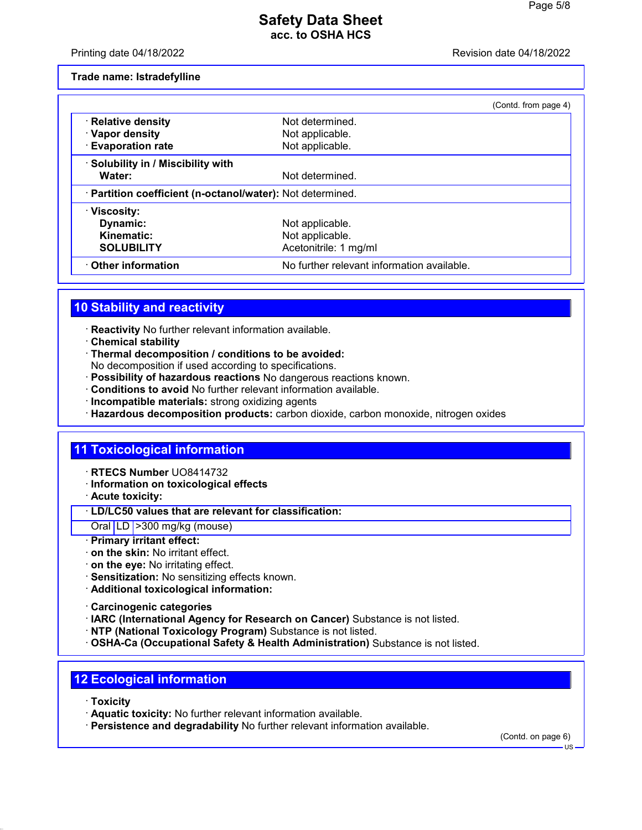Printing date 04/18/2022 Revision date 04/18/2022

**Trade name: Istradefylline**

|                                                            |                                            | (Contd. from page 4) |
|------------------------------------------------------------|--------------------------------------------|----------------------|
| · Relative density                                         | Not determined.                            |                      |
| · Vapor density                                            | Not applicable.                            |                      |
| · Evaporation rate                                         | Not applicable.                            |                      |
| · Solubility in / Miscibility with                         |                                            |                      |
| Water:                                                     | Not determined.                            |                      |
| · Partition coefficient (n-octanol/water): Not determined. |                                            |                      |
| · Viscosity:                                               |                                            |                      |
| Dynamic:                                                   | Not applicable.                            |                      |
| Kinematic:                                                 | Not applicable.                            |                      |
| <b>SOLUBILITY</b>                                          | Acetonitrile: 1 mg/ml                      |                      |
| Other information                                          | No further relevant information available. |                      |

# **10 Stability and reactivity**

- · **Reactivity** No further relevant information available.
- · **Chemical stability**
- · **Thermal decomposition / conditions to be avoided:**
- No decomposition if used according to specifications.
- · **Possibility of hazardous reactions** No dangerous reactions known.
- · **Conditions to avoid** No further relevant information available.
- · **Incompatible materials:** strong oxidizing agents
- · **Hazardous decomposition products:** carbon dioxide, carbon monoxide, nitrogen oxides

## **11 Toxicological information**

- · **RTECS Number** UO8414732
- · **Information on toxicological effects**
- · **Acute toxicity:**
- · **LD/LC50 values that are relevant for classification:**

### Oral LD >300 mg/kg (mouse)

- · **Primary irritant effect:**
- · **on the skin:** No irritant effect.
- · **on the eye:** No irritating effect.
- · **Sensitization:** No sensitizing effects known.
- · **Additional toxicological information:**
- · **Carcinogenic categories**
- · **IARC (International Agency for Research on Cancer)** Substance is not listed.
- · **NTP (National Toxicology Program)** Substance is not listed.
- · **OSHA-Ca (Occupational Safety & Health Administration)** Substance is not listed.

## **12 Ecological information**

- · **Toxicity**
- · **Aquatic toxicity:** No further relevant information available.
- · **Persistence and degradability** No further relevant information available.

(Contd. on page 6)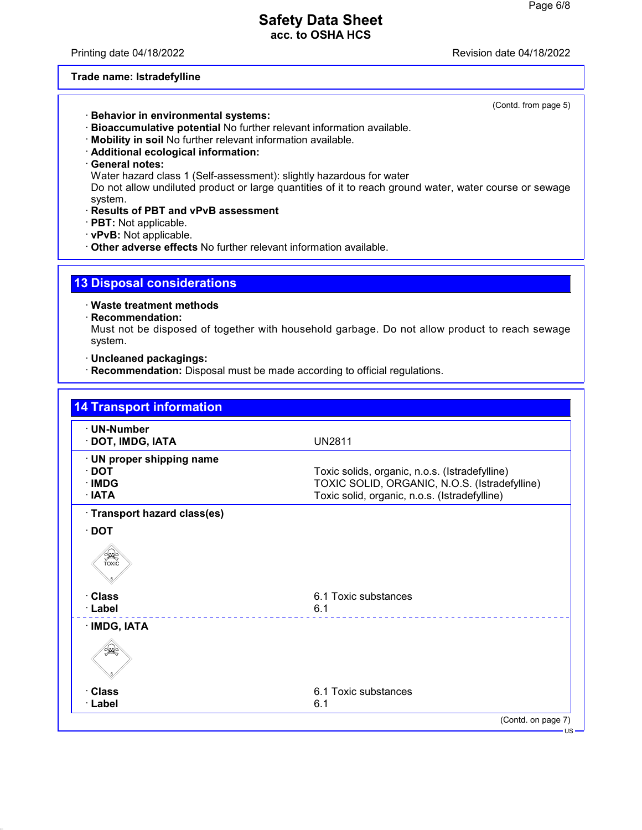Printing date 04/18/2022 Revision date 04/18/2022

#### **Trade name: Istradefylline**

(Contd. from page 5)

- · **Behavior in environmental systems:**
- · **Bioaccumulative potential** No further relevant information available.
- · **Mobility in soil** No further relevant information available.
- · **Additional ecological information:**
- · **General notes:**

Water hazard class 1 (Self-assessment): slightly hazardous for water

Do not allow undiluted product or large quantities of it to reach ground water, water course or sewage system.

- · **Results of PBT and vPvB assessment**
- · **PBT:** Not applicable.
- · **vPvB:** Not applicable.
- · **Other adverse effects** No further relevant information available.

## **13 Disposal considerations**

· **Waste treatment methods**

· **Recommendation:**

Must not be disposed of together with household garbage. Do not allow product to reach sewage system.

· **Uncleaned packagings:**

· **Recommendation:** Disposal must be made according to official regulations.

| · UN-Number<br>· DOT, IMDG, IATA | <b>UN2811</b>                                  |
|----------------------------------|------------------------------------------------|
| · UN proper shipping name        |                                                |
| $\cdot$ DOT                      | Toxic solids, organic, n.o.s. (Istradefylline) |
| · IMDG                           | TOXIC SOLID, ORGANIC, N.O.S. (Istradefylline)  |
| · IATA                           | Toxic solid, organic, n.o.s. (Istradefylline)  |
| · Transport hazard class(es)     |                                                |
| $\cdot$ DOT                      |                                                |
| SEEP                             |                                                |
| · Class                          | 6.1 Toxic substances                           |
| · Label                          | 6.1                                            |
| · IMDG, IATA                     |                                                |
|                                  |                                                |
| · Class                          | 6.1 Toxic substances                           |
| · Label                          | 6.1                                            |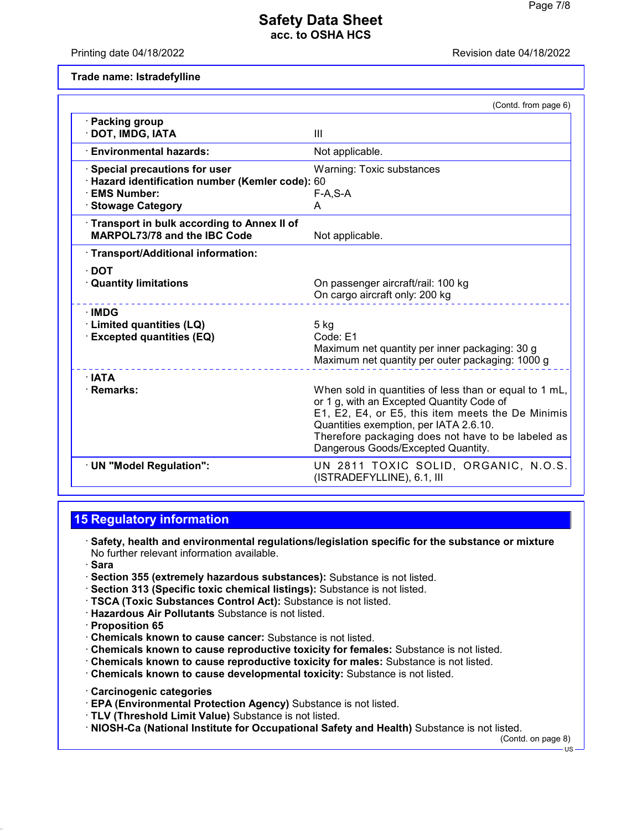Printing date 04/18/2022 Revision date 04/18/2022

**Trade name: Istradefylline**

|                                                                                                                           | (Contd. from page 6)                                                                                                                                                                                                                                                                           |
|---------------------------------------------------------------------------------------------------------------------------|------------------------------------------------------------------------------------------------------------------------------------------------------------------------------------------------------------------------------------------------------------------------------------------------|
| · Packing group<br>· DOT, IMDG, IATA                                                                                      | III                                                                                                                                                                                                                                                                                            |
| <b>Environmental hazards:</b>                                                                                             | Not applicable.                                                                                                                                                                                                                                                                                |
| · Special precautions for user<br>· Hazard identification number (Kemler code): 60<br>· EMS Number:<br>· Stowage Category | Warning: Toxic substances<br>$F-A, S-A$<br>A                                                                                                                                                                                                                                                   |
| Transport in bulk according to Annex II of<br><b>MARPOL73/78 and the IBC Code</b>                                         | Not applicable.                                                                                                                                                                                                                                                                                |
| · Transport/Additional information:                                                                                       |                                                                                                                                                                                                                                                                                                |
| $\cdot$ DOT<br><b>Quantity limitations</b>                                                                                | On passenger aircraft/rail: 100 kg<br>On cargo aircraft only: 200 kg                                                                                                                                                                                                                           |
| $\cdot$ IMDG<br>· Limited quantities (LQ)<br><b>Excepted quantities (EQ)</b>                                              | 5 kg<br>Code: E1<br>Maximum net quantity per inner packaging: 30 g<br>Maximum net quantity per outer packaging: 1000 g                                                                                                                                                                         |
| $\cdot$ IATA<br>· Remarks:                                                                                                | When sold in quantities of less than or equal to 1 mL,<br>or 1 g, with an Excepted Quantity Code of<br>E1, E2, E4, or E5, this item meets the De Minimis<br>Quantities exemption, per IATA 2.6.10.<br>Therefore packaging does not have to be labeled as<br>Dangerous Goods/Excepted Quantity. |
| · UN "Model Regulation":                                                                                                  | UN 2811 TOXIC SOLID, ORGANIC, N.O.S.<br>(ISTRADEFYLLINE), 6.1, III                                                                                                                                                                                                                             |

# **15 Regulatory information**

- · **Safety, health and environmental regulations/legislation specific for the substance or mixture** No further relevant information available.
- · **Sara**
- · **Section 355 (extremely hazardous substances):** Substance is not listed.
- · **Section 313 (Specific toxic chemical listings):** Substance is not listed.
- · **TSCA (Toxic Substances Control Act):** Substance is not listed.
- · **Hazardous Air Pollutants** Substance is not listed.
- · **Proposition 65**
- · **Chemicals known to cause cancer:** Substance is not listed.
- · **Chemicals known to cause reproductive toxicity for females:** Substance is not listed.
- · **Chemicals known to cause reproductive toxicity for males:** Substance is not listed.
- · **Chemicals known to cause developmental toxicity:** Substance is not listed.
- · **Carcinogenic categories**
- · **EPA (Environmental Protection Agency)** Substance is not listed.
- · **TLV (Threshold Limit Value)** Substance is not listed.
- · **NIOSH-Ca (National Institute for Occupational Safety and Health)** Substance is not listed.

(Contd. on page 8)  $\overline{18}$